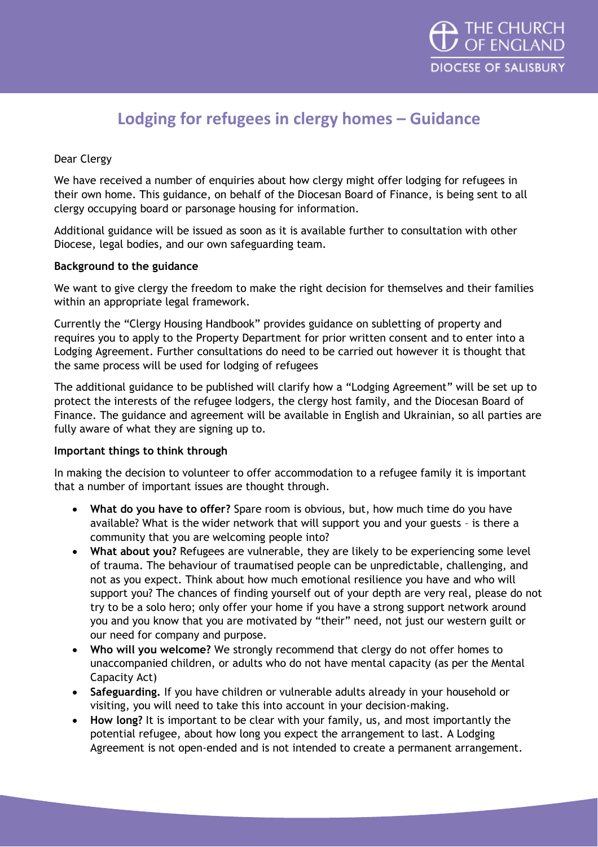

# **Lodging for refugees in clergy homes – Guidance**

## Dear Clergy

We have received a number of enquiries about how clergy might offer lodging for refugees in their own home. This guidance, on behalf of the Diocesan Board of Finance, is being sent to all clergy occupying board or parsonage housing for information.

Additional guidance will be issued as soon as it is available further to consultation with other Diocese, legal bodies, and our own safeguarding team.

#### **Background to the guidance**

We want to give clergy the freedom to make the right decision for themselves and their families within an appropriate legal framework.

Currently the "Clergy Housing Handbook" provides guidance on subletting of property and requires you to apply to the Property Department for prior written consent and to enter into a Lodging Agreement. Further consultations do need to be carried out however it is thought that the same process will be used for lodging of refugees

The additional guidance to be published will clarify how a "Lodging Agreement" will be set up to protect the interests of the refugee lodgers, the clergy host family, and the Diocesan Board of Finance. The guidance and agreement will be available in English and Ukrainian, so all parties are fully aware of what they are signing up to.

### **Important things to think through**

In making the decision to volunteer to offer accommodation to a refugee family it is important that a number of important issues are thought through.

- **What do you have to offer?** Spare room is obvious, but, how much time do you have available? What is the wider network that will support you and your guests – is there a community that you are welcoming people into?
- **What about you?** Refugees are vulnerable, they are likely to be experiencing some level of trauma. The behaviour of traumatised people can be unpredictable, challenging, and not as you expect. Think about how much emotional resilience you have and who will support you? The chances of finding yourself out of your depth are very real, please do not try to be a solo hero; only offer your home if you have a strong support network around you and you know that you are motivated by "their" need, not just our western guilt or our need for company and purpose.
- **Who will you welcome?** We strongly recommend that clergy do not offer homes to unaccompanied children, or adults who do not have mental capacity (as per the Mental Capacity Act)
- **Safeguarding.** If you have children or vulnerable adults already in your household or visiting, you will need to take this into account in your decision-making.
- **How long?** It is important to be clear with your family, us, and most importantly the potential refugee, about how long you expect the arrangement to last. A Lodging Agreement is not open-ended and is not intended to create a permanent arrangement.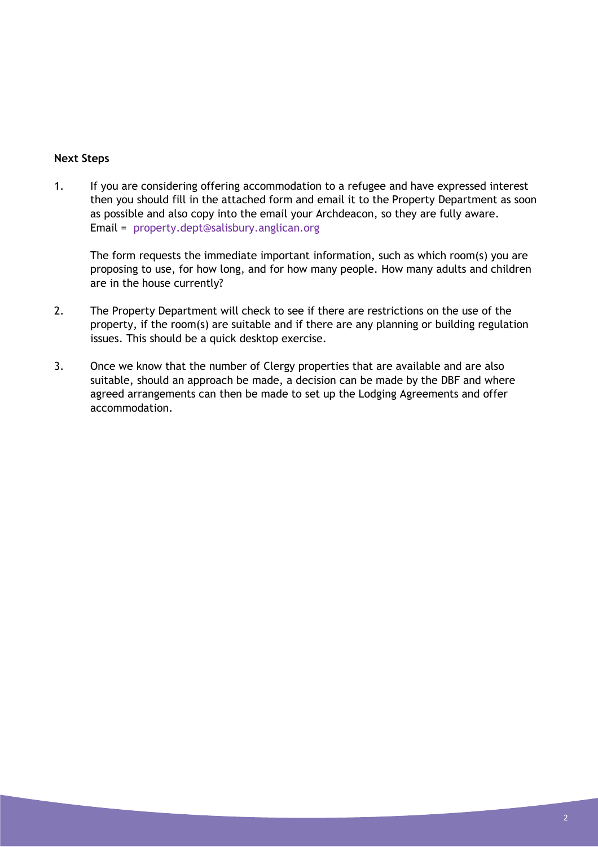#### **Next Steps**

1. If you are considering offering accommodation to a refugee and have expressed interest then you should fill in the attached form and email it to the Property Department as soon as possible and also copy into the email your Archdeacon, so they are fully aware. Email = [property.dept@salisbury.anglican.org](mailto:property.dept@salisbury.anglican.org)

The form requests the immediate important information, such as which room(s) you are proposing to use, for how long, and for how many people. How many adults and children are in the house currently?

- 2. The Property Department will check to see if there are restrictions on the use of the property, if the room(s) are suitable and if there are any planning or building regulation issues. This should be a quick desktop exercise.
- 3. Once we know that the number of Clergy properties that are available and are also suitable, should an approach be made, a decision can be made by the DBF and where agreed arrangements can then be made to set up the Lodging Agreements and offer accommodation.